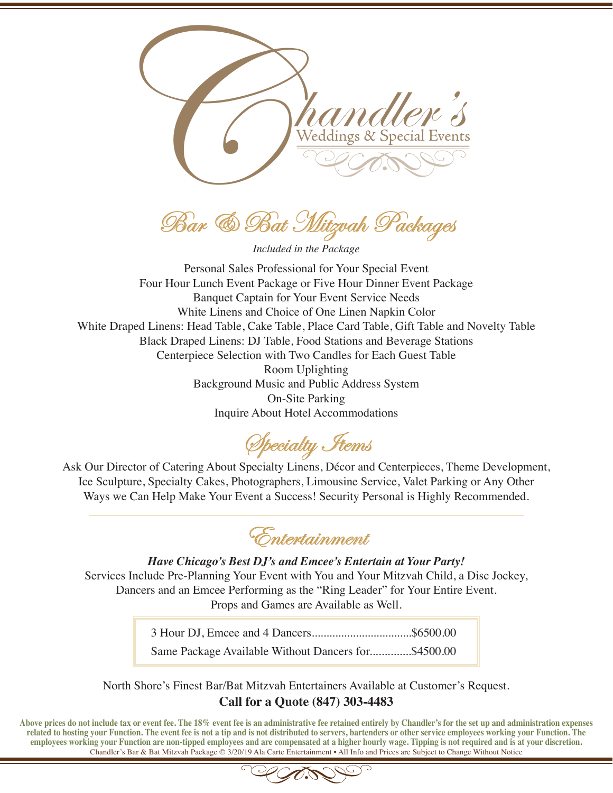

Bar & Bat Mitzvah Packages

*Included in the Package*

Personal Sales Professional for Your Special Event Four Hour Lunch Event Package or Five Hour Dinner Event Package Banquet Captain for Your Event Service Needs White Linens and Choice of One Linen Napkin Color White Draped Linens: Head Table, Cake Table, Place Card Table, Gift Table and Novelty Table Black Draped Linens: DJ Table, Food Stations and Beverage Stations Centerpiece Selection with Two Candles for Each Guest Table Room Uplighting Background Music and Public Address System On-Site Parking Inquire About Hotel Accommodations

Specialty Items

Ask Our Director of Catering About Specialty Linens, Décor and Centerpieces, Theme Development, Ice Sculpture, Specialty Cakes, Photographers, Limousine Service, Valet Parking or Any Other Ways we Can Help Make Your Event a Success! Security Personal is Highly Recommended.

Entertainment

*Have Chicago's Best DJ's and Emcee's Entertain at Your Party!* Services Include Pre-Planning Your Event with You and Your Mitzvah Child, a Disc Jockey, Dancers and an Emcee Performing as the "Ring Leader" for Your Entire Event. Props and Games are Available as Well.

> 3 Hour DJ, Emcee and 4 Dancers..................................\$6500.00 Same Package Available Without Dancers for..............\$4500.00

North Shore's Finest Bar/Bat Mitzvah Entertainers Available at Customer's Request. **Call for a Quote (847) 303-4483**

**Above prices do not include tax or event fee. The 18% event fee is an administrative fee retained entirely by Chandler's for the set up and administration expenses related to hosting your Function. The event fee is not a tip and is not distributed to servers, bartenders or other service employees working your Function. The employees working your Function are non-tipped employees and are compensated at a higher hourly wage. Tipping is not required and is at your discretion.** Chandler's Bar & Bat Mitzvah Package © 3/20/19 Ala Carte Entertainment • All Info and Prices are Subject to Change Without Notice

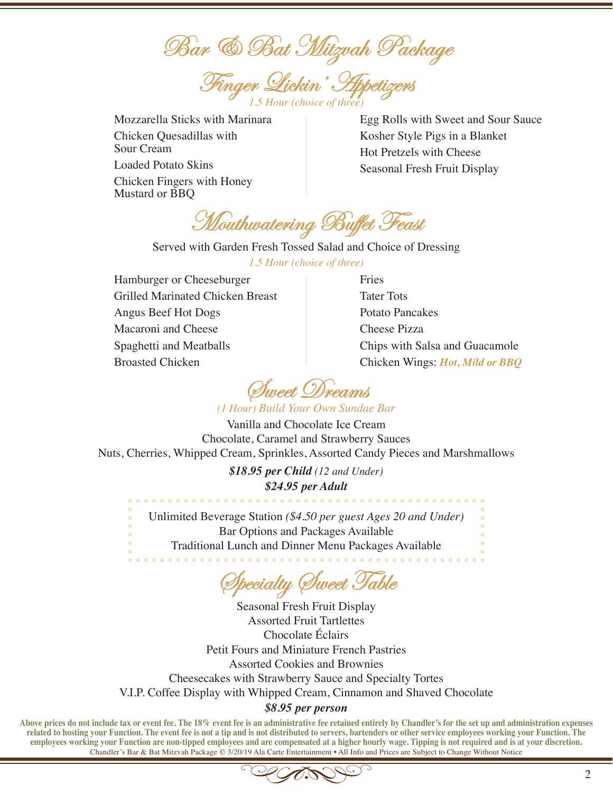Bar & Bat Mitzvah Package

Finger Lickin' Appetizers *1.5 Hour (choice of three)*

Mozzarella Sticks with Marinara Chicken Quesadillas with Sour Cream Loaded Potato Skins Chicken Fingers with Honey Mustard or BBQ

Egg Rolls with Sweet and Sour Sauce Kosher Style Pigs in a Blanket Hot Pretzels with Cheese Seasonal Fresh Fruit Display

Mouthwatering Buffet Feast

Served with Garden Fresh Tossed Salad and Choice of Dressing *1.5 Hour (choice of three)*

Hamburger or Cheeseburger Grilled Marinated Chicken Breast Angus Beef Hot Dogs Macaroni and Cheese Spaghetti and Meatballs Broasted Chicken

Fries Tater Tots Potato Pancakes Cheese Pizza Chips with Salsa and Guacamole Chicken Wings: *Hot, Mild or BBQ* 

Sweet Dreams

*(1 Hour) Build Your Own Sundae Bar*

Vanilla and Chocolate Ice Cream Chocolate, Caramel and Strawberry Sauces Nuts, Cherries, Whipped Cream, Sprinkles, Assorted Candy Pieces and Marshmallows

> *\$18.95 per Child (12 and Under) \$24.95 per Adult*

Unlimited Beverage Station *(\$4.50 per guest Ages 20 and Under)* Bar Options and Packages Available Traditional Lunch and Dinner Menu Packages Available

Specialty Sweet Table

Seasonal Fresh Fruit Display Assorted Fruit Tartlettes Chocolate Éclairs Petit Fours and Miniature French Pastries Assorted Cookies and Brownies Cheesecakes with Strawberry Sauce and Specialty Tortes V.I.P. Coffee Display with Whipped Cream, Cinnamon and Shaved Chocolate *\$8.95 per person*

**Above prices do not include tax or event fee. The 18% event fee is an administrative fee retained entirely by Chandler's for the set up and administration expenses related to hosting your Function. The event fee is not a tip and is not distributed to servers, bartenders or other service employees working your Function. The employees working your Function are non-tipped employees and are compensated at a higher hourly wage. Tipping is not required and is at your discretion.** Chandler's Bar & Bat Mitzvah Package © 3/20/19 Ala Carte Entertainment • All Info and Prices are Subject to Change Without Notice

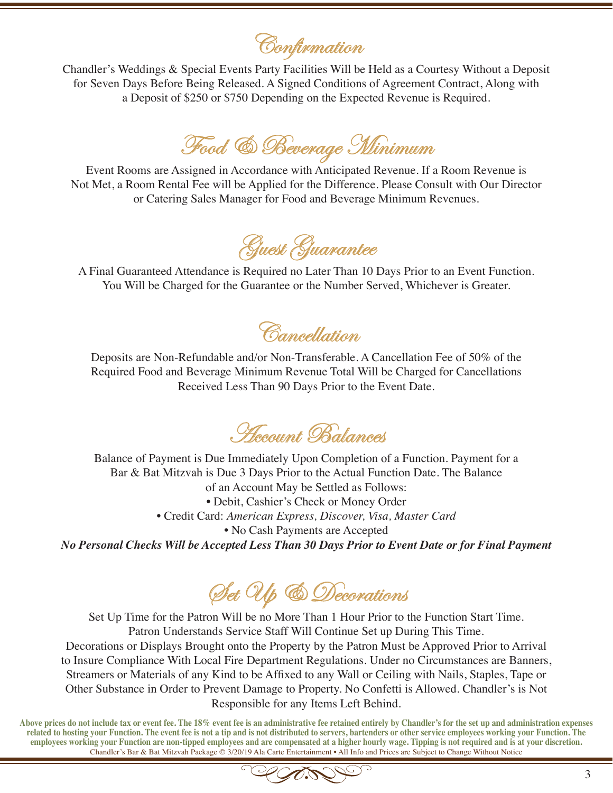Confirmation

Chandler's Weddings & Special Events Party Facilities Will be Held as a Courtesy Without a Deposit for Seven Days Before Being Released. A Signed Conditions of Agreement Contract, Along with a Deposit of \$250 or \$750 Depending on the Expected Revenue is Required.

Food & Beverage Minimum

Event Rooms are Assigned in Accordance with Anticipated Revenue. If a Room Revenue is Not Met, a Room Rental Fee will be Applied for the Difference. Please Consult with Our Director or Catering Sales Manager for Food and Beverage Minimum Revenues.

Guest Guarantee

A Final Guaranteed Attendance is Required no Later Than 10 Days Prior to an Event Function. You Will be Charged for the Guarantee or the Number Served, Whichever is Greater.

**Cancellation** 

Deposits are Non-Refundable and/or Non-Transferable. A Cancellation Fee of 50% of the Required Food and Beverage Minimum Revenue Total Will be Charged for Cancellations Received Less Than 90 Days Prior to the Event Date.

Account Balances

Balance of Payment is Due Immediately Upon Completion of a Function. Payment for a Bar & Bat Mitzvah is Due 3 Days Prior to the Actual Function Date. The Balance of an Account May be Settled as Follows: • Debit, Cashier's Check or Money Order • Credit Card: *American Express, Discover, Visa, Master Card* • No Cash Payments are Accepted *No Personal Checks Will be Accepted Less Than 30 Days Prior to Event Date or for Final Payment*

Set Up & Decorations

Set Up Time for the Patron Will be no More Than 1 Hour Prior to the Function Start Time. Patron Understands Service Staff Will Continue Set up During This Time. Decorations or Displays Brought onto the Property by the Patron Must be Approved Prior to Arrival to Insure Compliance With Local Fire Department Regulations. Under no Circumstances are Banners, Streamers or Materials of any Kind to be Affixed to any Wall or Ceiling with Nails, Staples, Tape or Other Substance in Order to Prevent Damage to Property. No Confetti is Allowed. Chandler's is Not Responsible for any Items Left Behind.

**Above prices do not include tax or event fee. The 18% event fee is an administrative fee retained entirely by Chandler's for the set up and administration expenses related to hosting your Function. The event fee is not a tip and is not distributed to servers, bartenders or other service employees working your Function. The employees working your Function are non-tipped employees and are compensated at a higher hourly wage. Tipping is not required and is at your discretion.** Chandler's Bar & Bat Mitzvah Package © 3/20/19 Ala Carte Entertainment • All Info and Prices are Subject to Change Without Notice